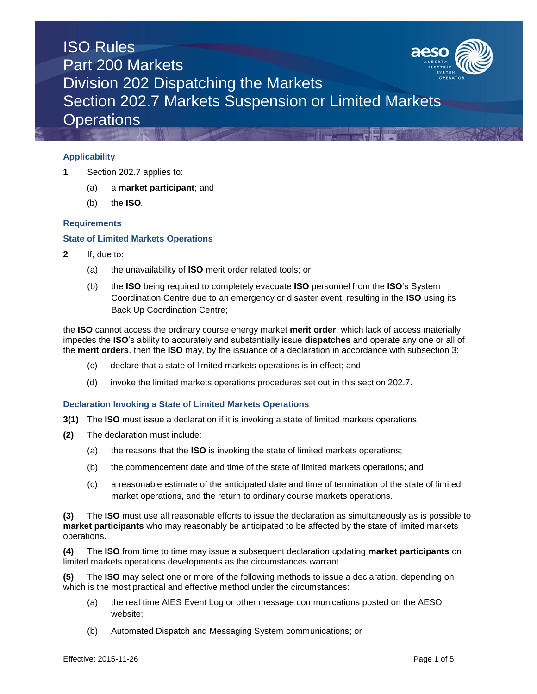

## **Applicability**

- **1** Section 202.7 applies to:
	- (a) a **market participant**; and
	- (b) the **ISO***.*

### **Requirements**

### **State of Limited Markets Operations**

- **2** If, due to:
	- (a) the unavailability of **ISO** merit order related tools; or
	- (b) the **ISO** being required to completely evacuate **ISO** personnel from the **ISO**'s System Coordination Centre due to an emergency or disaster event, resulting in the **ISO** using its Back Up Coordination Centre;

the **ISO** cannot access the ordinary course energy market **merit order**, which lack of access materially impedes the **ISO**'s ability to accurately and substantially issue **dispatches** and operate any one or all of the **merit orders**, then the **ISO** may, by the issuance of a declaration in accordance with subsection 3:

- (c) declare that a state of limited markets operations is in effect; and
- (d) invoke the limited markets operations procedures set out in this section 202.7.

### **Declaration Invoking a State of Limited Markets Operations**

- **3(1)** The **ISO** must issue a declaration if it is invoking a state of limited markets operations.
- **(2)** The declaration must include:
	- (a) the reasons that the **ISO** is invoking the state of limited markets operations;
	- (b) the commencement date and time of the state of limited markets operations; and
	- (c) a reasonable estimate of the anticipated date and time of termination of the state of limited market operations, and the return to ordinary course markets operations.

**(3)** The **ISO** must use all reasonable efforts to issue the declaration as simultaneously as is possible to **market participants** who may reasonably be anticipated to be affected by the state of limited markets operations.

**(4)** The **ISO** from time to time may issue a subsequent declaration updating **market participants** on limited markets operations developments as the circumstances warrant.

**(5)** The **ISO** may select one or more of the following methods to issue a declaration, depending on which is the most practical and effective method under the circumstances:

- (a) the real time AIES Event Log or other message communications posted on the AESO website;
- (b) Automated Dispatch and Messaging System communications; or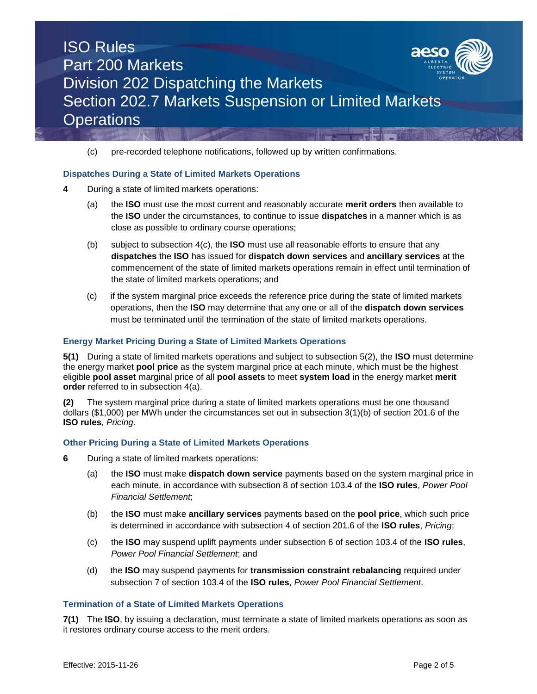

(c) pre-recorded telephone notifications, followed up by written confirmations.

## **Dispatches During a State of Limited Markets Operations**

- **4** During a state of limited markets operations:
	- (a) the **ISO** must use the most current and reasonably accurate **merit orders** then available to the **ISO** under the circumstances, to continue to issue **dispatches** in a manner which is as close as possible to ordinary course operations;
	- (b) subject to subsection 4(c), the **ISO** must use all reasonable efforts to ensure that any **dispatches** the **ISO** has issued for **dispatch down services** and **ancillary services** at the commencement of the state of limited markets operations remain in effect until termination of the state of limited markets operations; and
	- (c) if the system marginal price exceeds the reference price during the state of limited markets operations, then the **ISO** may determine that any one or all of the **dispatch down services**  must be terminated until the termination of the state of limited markets operations.

### **Energy Market Pricing During a State of Limited Markets Operations**

**5(1)** During a state of limited markets operations and subject to subsection 5(2), the **ISO** must determine the energy market **pool price** as the system marginal price at each minute, which must be the highest eligible **pool asset** marginal price of all **pool assets** to meet **system load** in the energy market **merit order** referred to in subsection 4(a).

**(2)** The system marginal price during a state of limited markets operations must be one thousand dollars (\$1,000) per MWh under the circumstances set out in subsection 3(1)(b) of section 201.6 of the **ISO rules***, Pricing*.

### **Other Pricing During a State of Limited Markets Operations**

- **6** During a state of limited markets operations:
	- (a) the **ISO** must make **dispatch down service** payments based on the system marginal price in each minute, in accordance with subsection 8 of section 103.4 of the **ISO rules**, *Power Pool Financial Settlement*;
	- (b) the **ISO** must make **ancillary services** payments based on the **pool price**, which such price is determined in accordance with subsection 4 of section 201.6 of the **ISO rules**, *Pricing*;
	- (c) the **ISO** may suspend uplift payments under subsection 6 of section 103.4 of the **ISO rules**, *Power Pool Financial Settlement*; and
	- (d) the **ISO** may suspend payments for **transmission constraint rebalancing** required under subsection 7 of section 103.4 of the **ISO rules**, *Power Pool Financial Settlement*.

### **Termination of a State of Limited Markets Operations**

**7(1)** The **ISO**, by issuing a declaration, must terminate a state of limited markets operations as soon as it restores ordinary course access to the merit orders.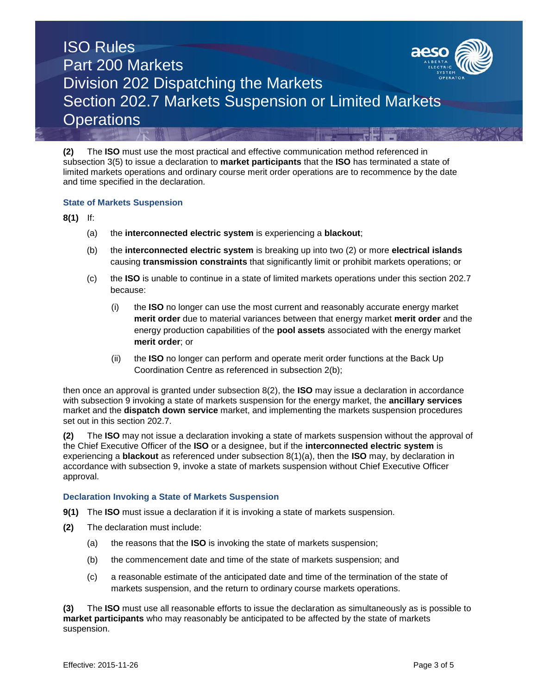

**(2)** The **ISO** must use the most practical and effective communication method referenced in subsection 3(5) to issue a declaration to **market participants** that the **ISO** has terminated a state of limited markets operations and ordinary course merit order operations are to recommence by the date and time specified in the declaration.

## **State of Markets Suspension**

**8(1)** If:

- (a) the **interconnected electric system** is experiencing a **blackout**;
- (b) the **interconnected electric system** is breaking up into two (2) or more **electrical islands**  causing **transmission constraints** that significantly limit or prohibit markets operations; or
- (c) the **ISO** is unable to continue in a state of limited markets operations under this section 202.7 because:
	- (i) the **ISO** no longer can use the most current and reasonably accurate energy market **merit order** due to material variances between that energy market **merit order** and the energy production capabilities of the **pool assets** associated with the energy market **merit order**; or
	- (ii) the **ISO** no longer can perform and operate merit order functions at the Back Up Coordination Centre as referenced in subsection 2(b);

then once an approval is granted under subsection 8(2), the **ISO** may issue a declaration in accordance with subsection 9 invoking a state of markets suspension for the energy market, the **ancillary services** market and the **dispatch down service** market, and implementing the markets suspension procedures set out in this section 202.7.

**(2)** The **ISO** may not issue a declaration invoking a state of markets suspension without the approval of the Chief Executive Officer of the **ISO** or a designee, but if the **interconnected electric system** is experiencing a **blackout** as referenced under subsection 8(1)(a), then the **ISO** may, by declaration in accordance with subsection 9, invoke a state of markets suspension without Chief Executive Officer approval.

### **Declaration Invoking a State of Markets Suspension**

- **9(1)** The **ISO** must issue a declaration if it is invoking a state of markets suspension.
- **(2)** The declaration must include:
	- (a) the reasons that the **ISO** is invoking the state of markets suspension;
	- (b) the commencement date and time of the state of markets suspension; and
	- (c) a reasonable estimate of the anticipated date and time of the termination of the state of markets suspension, and the return to ordinary course markets operations.

**(3)** The **ISO** must use all reasonable efforts to issue the declaration as simultaneously as is possible to **market participants** who may reasonably be anticipated to be affected by the state of markets suspension.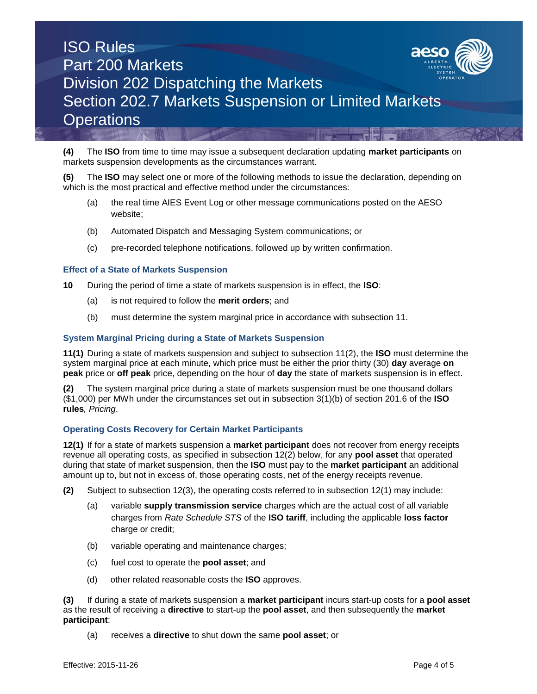

**(4)** The **ISO** from time to time may issue a subsequent declaration updating **market participants** on markets suspension developments as the circumstances warrant.

**(5)** The **ISO** may select one or more of the following methods to issue the declaration, depending on which is the most practical and effective method under the circumstances:

- (a) the real time AIES Event Log or other message communications posted on the AESO website;
- (b) Automated Dispatch and Messaging System communications; or
- (c) pre-recorded telephone notifications, followed up by written confirmation.

#### **Effect of a State of Markets Suspension**

- **10** During the period of time a state of markets suspension is in effect, the **ISO**:
	- (a) is not required to follow the **merit orders**; and
	- (b) must determine the system marginal price in accordance with subsection 11.

#### **System Marginal Pricing during a State of Markets Suspension**

**11(1)** During a state of markets suspension and subject to subsection 11(2), the **ISO** must determine the system marginal price at each minute, which price must be either the prior thirty (30) **day** average **on peak** price or **off peak** price, depending on the hour of **day** the state of markets suspension is in effect.

**(2)** The system marginal price during a state of markets suspension must be one thousand dollars (\$1,000) per MWh under the circumstances set out in subsection 3(1)(b) of section 201.6 of the **ISO rules***, Pricing*.

### **Operating Costs Recovery for Certain Market Participants**

**12(1)** If for a state of markets suspension a **market participant** does not recover from energy receipts revenue all operating costs, as specified in subsection 12(2) below, for any **pool asset** that operated during that state of market suspension, then the **ISO** must pay to the **market participant** an additional amount up to, but not in excess of, those operating costs, net of the energy receipts revenue.

- **(2)** Subject to subsection 12(3), the operating costs referred to in subsection 12(1) may include:
	- (a) variable **supply transmission service** charges which are the actual cost of all variable charges from *Rate Schedule STS* of the **ISO tariff**, including the applicable **loss factor** charge or credit;
	- (b) variable operating and maintenance charges;
	- (c) fuel cost to operate the **pool asset**; and
	- (d) other related reasonable costs the **ISO** approves.

**(3)** If during a state of markets suspension a **market participant** incurs start-up costs for a **pool asset** as the result of receiving a **directive** to start-up the **pool asset**, and then subsequently the **market participant**:

(a) receives a **directive** to shut down the same **pool asset**; or